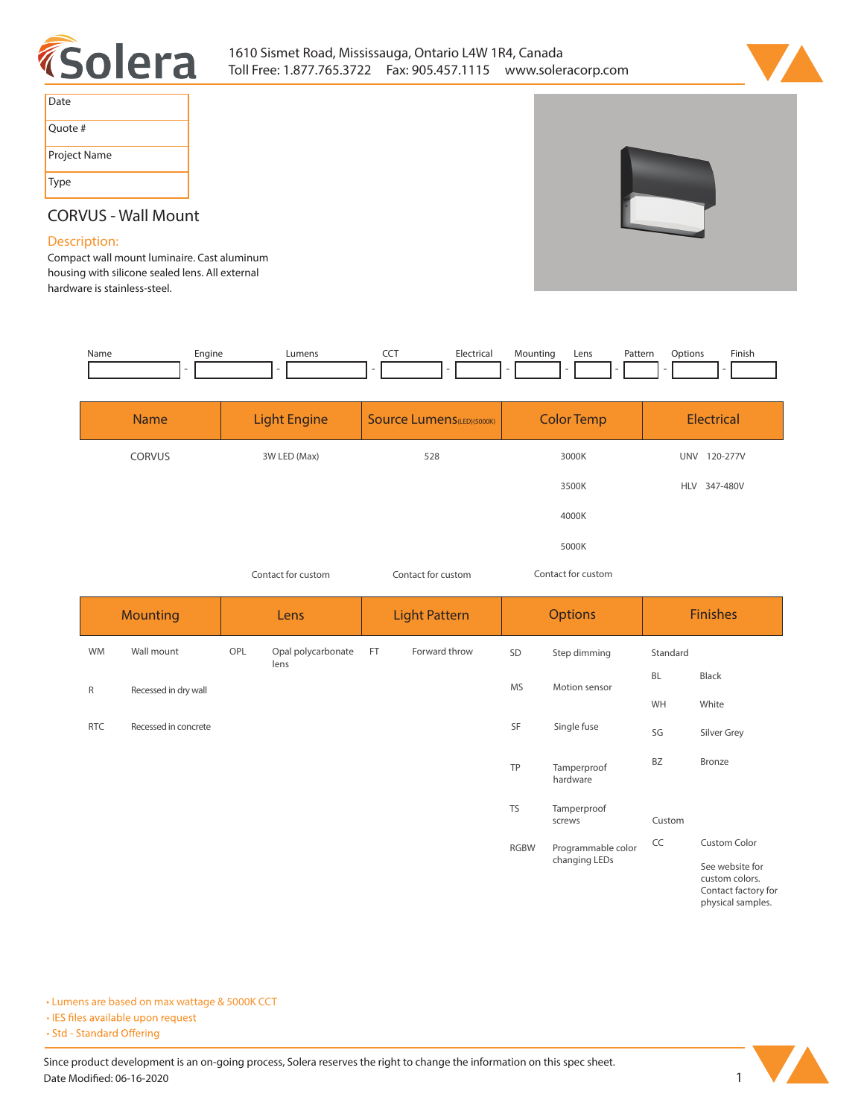



| Date         |
|--------------|
| Quote #      |
| Project Name |
| Type         |

# **CORVUS - Wall Mount**

## **Description:**

**Compact wall mount luminaire. Cast aluminum housing with silicone sealed lens. All external hardware is stainless-steel.** 

| Name | Enaine | ∟umens | --- | Electrical | vlountina | Lens | Pattern | )ptions | Finish |
|------|--------|--------|-----|------------|-----------|------|---------|---------|--------|
|      |        |        |     |            |           |      |         |         |        |

| <b>Name</b>   | <b>Light Engine</b> | <b>Source Lumens</b> (LED)(5000K) | <b>Color Temp</b> | Electrical             |  |
|---------------|---------------------|-----------------------------------|-------------------|------------------------|--|
| <b>CORVUS</b> | 3W LED (Max)        | 528                               | 3000K             | <b>UNV</b><br>120-277V |  |
|               |                     |                                   | 3500K             | HLV 347-480V           |  |
|               |                     |                                   | 4000K             |                        |  |
|               |                     |                                   | 5000K             |                        |  |

*Contact for custom Contact for custom*

*Contact for custom*

| <b>Mounting</b> |                      | <b>Lens</b> |                            | <b>Light Pattern</b> |               | <b>Options</b> |                         | <b>Finishes</b> |                                                                               |
|-----------------|----------------------|-------------|----------------------------|----------------------|---------------|----------------|-------------------------|-----------------|-------------------------------------------------------------------------------|
| <b>WM</b>       | Wall mount           | OPL         | Opal polycarbonate<br>lens | FT                   | Forward throw | SD             | Step dimming            | Standard        |                                                                               |
| R               | Recessed in dry wall |             |                            |                      |               | MS             | Motion sensor           | <b>BL</b>       | Black                                                                         |
|                 |                      |             |                            |                      |               |                |                         | WH              | White                                                                         |
| <b>RTC</b>      | Recessed in concrete |             |                            |                      |               | SF             | Single fuse             | SG              | Silver Grey                                                                   |
|                 |                      |             |                            |                      |               | TP             | Tamperproof<br>hardware | <b>BZ</b>       | Bronze                                                                        |
|                 |                      |             |                            |                      |               | <b>TS</b>      | Tamperproof<br>screws   | Custom          |                                                                               |
|                 |                      |             |                            |                      |               | <b>RGBW</b>    | Programmable color      | CC              | <b>Custom Color</b>                                                           |
|                 |                      |             |                            |                      |               |                | changing LEDs           |                 | See website for<br>custom colors.<br>Contact factory for<br>physical samples. |

**• Lumens are based on max wattage & 5000K CCT**

· IES files available upon request

• Std - Standard Offering